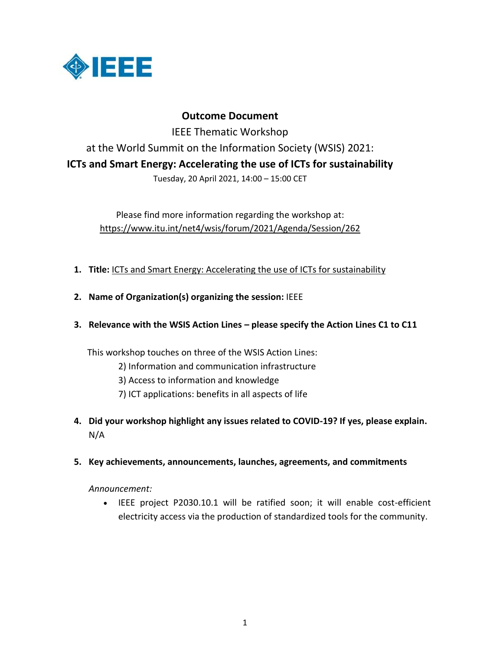

# **Outcome Document**

IEEE Thematic Workshop at the World Summit on the Information Society (WSIS) 2021: **ICTs and Smart Energy: Accelerating the use of ICTs for sustainability** Tuesday, 20 April 2021, 14:00 – 15:00 CET

Please find more information regarding the workshop at:

https://www.itu.int/net4/wsis/forum/2021/Agenda/Session/262

- **1. Title:** [ICTs and Smart Energy: Accelerating the use of ICTs for sustainability](https://www.itu.int/net4/wsis/forum/2021/Agenda/Session/262)
- **2. Name of Organization(s) organizing the session:** IEEE
- **3. Relevance with the WSIS Action Lines – please specify the Action Lines C1 to C11**

This workshop touches on three of the WSIS Action Lines:

- 2) Information and communication infrastructure
- 3) Access to information and knowledge
- 7) ICT applications: benefits in all aspects of life
- **4. Did your workshop highlight any issues related to COVID-19? If yes, please explain.** N/A
- **5. Key achievements, announcements, launches, agreements, and commitments**

*Announcement:*

 IEEE project P2030.10.1 will be ratified soon; it will enable cost-efficient electricity access via the production of standardized tools for the community.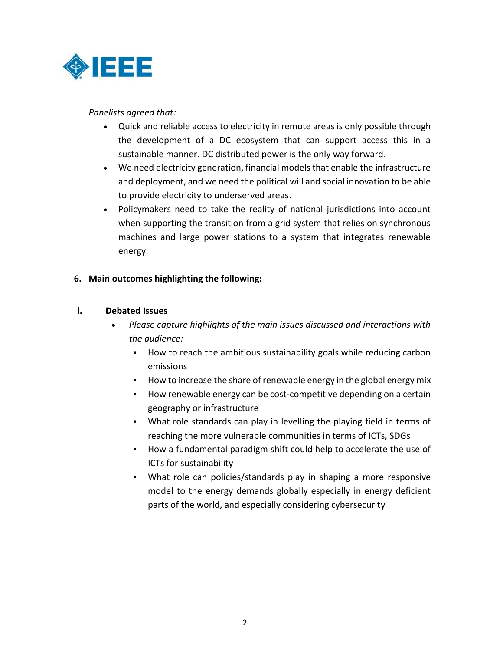

### *Panelists agreed that:*

- Quick and reliable access to electricity in remote areas is only possible through the development of a DC ecosystem that can support access this in a sustainable manner. DC distributed power is the only way forward.
- We need electricity generation, financial models that enable the infrastructure and deployment, and we need the political will and social innovation to be able to provide electricity to underserved areas.
- Policymakers need to take the reality of national jurisdictions into account when supporting the transition from a grid system that relies on synchronous machines and large power stations to a system that integrates renewable energy.

### **6. Main outcomes highlighting the following:**

### **I. Debated Issues**

- *Please capture highlights of the main issues discussed and interactions with the audience:*
	- How to reach the ambitious sustainability goals while reducing carbon emissions
	- How to increase the share of renewable energy in the global energy mix
	- How renewable energy can be cost-competitive depending on a certain geography or infrastructure
	- What role standards can play in levelling the playing field in terms of reaching the more vulnerable communities in terms of ICTs, SDGs
	- How a fundamental paradigm shift could help to accelerate the use of ICTs for sustainability
	- What role can policies/standards play in shaping a more responsive model to the energy demands globally especially in energy deficient parts of the world, and especially considering cybersecurity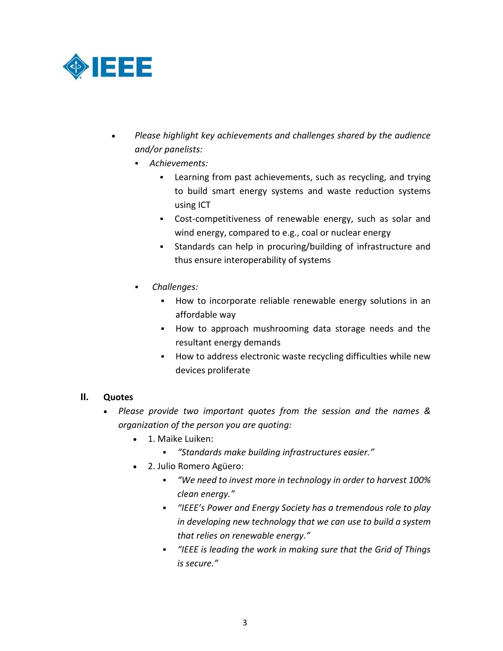

- *Please highlight key achievements and challenges shared by the audience and/or panelists:*
	- *Achievements:*
		- Learning from past achievements, such as recycling, and trying to build smart energy systems and waste reduction systems using ICT
		- Cost-competitiveness of renewable energy, such as solar and wind energy, compared to e.g., coal or nuclear energy
		- Standards can help in procuring/building of infrastructure and thus ensure interoperability of systems
	- *Challenges:*
		- **How to incorporate reliable renewable energy solutions in an** affordable way
		- How to approach mushrooming data storage needs and the resultant energy demands
		- **How to address electronic waste recycling difficulties while new** devices proliferate

# **II. Quotes**

- *Please provide two important quotes from the session and the names & organization of the person you are quoting:*
	- 1. Maike Luiken:
		- *"Standards make building infrastructures easier."*
	- 2. Julio Romero Agüero:
		- *"We need to invest more in technology in order to harvest 100% clean energy."*
		- *"IEEE's Power and Energy Society has a tremendous role to play in developing new technology that we can use to build a system that relies on renewable energy."*
		- *"IEEE is leading the work in making sure that the Grid of Things is secure."*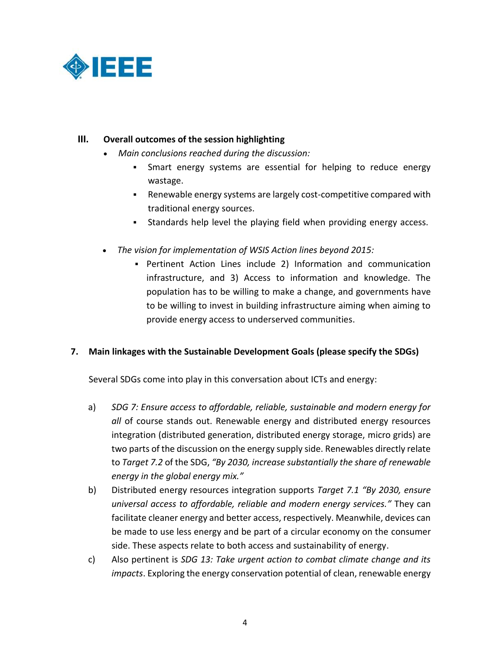

## **III. Overall outcomes of the session highlighting**

- *Main conclusions reached during the discussion:*
	- Smart energy systems are essential for helping to reduce energy wastage.
	- Renewable energy systems are largely cost-competitive compared with traditional energy sources.
	- Standards help level the playing field when providing energy access.
- *The vision for implementation of WSIS Action lines beyond 2015:*
	- Pertinent Action Lines include 2) Information and communication infrastructure, and 3) Access to information and knowledge. The population has to be willing to make a change, and governments have to be willing to invest in building infrastructure aiming when aiming to provide energy access to underserved communities.

#### **7. Main linkages with the Sustainable Development Goals (please specify the SDGs)**

Several SDGs come into play in this conversation about ICTs and energy:

- a) *SDG 7: Ensure access to affordable, reliable, sustainable and modern energy for all* of course stands out. Renewable energy and distributed energy resources integration (distributed generation, distributed energy storage, micro grids) are two parts of the discussion on the energy supply side. Renewables directly relate to *Target 7.2* of the SDG, *"By 2030, increase substantially the share of renewable energy in the global energy mix."*
- b) Distributed energy resources integration supports *Target 7.1 "By 2030, ensure universal access to affordable, reliable and modern energy services."* They can facilitate cleaner energy and better access, respectively. Meanwhile, devices can be made to use less energy and be part of a circular economy on the consumer side. These aspects relate to both access and sustainability of energy.
- c) Also pertinent is *SDG 13: Take urgent action to combat climate change and its impacts*. Exploring the energy conservation potential of clean, renewable energy